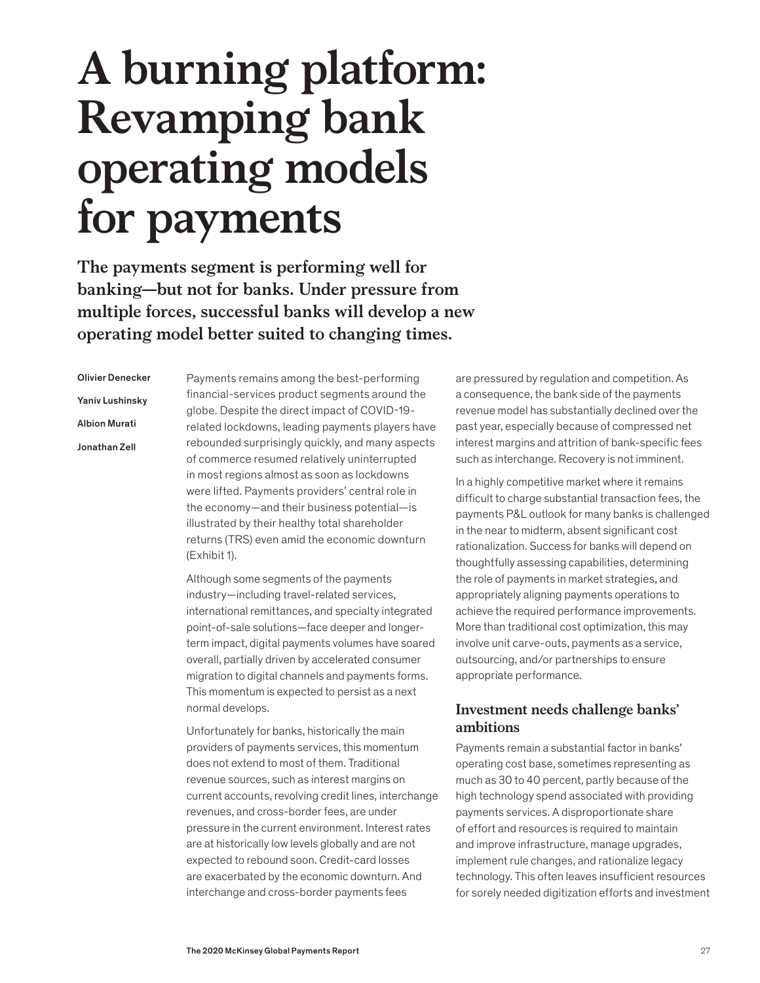# **A burning platform: Revamping bank operating models for payments**

**The payments segment is performing well for banking—but not for banks. Under pressure from multiple forces, successful banks will develop a new operating model better suited to changing times.**

Olivier Denecker Yaniv Lushinsky Albion Murati Jonathan Zell

Payments remains among the best-performing financial-services product segments around the globe. Despite the direct impact of COVID-19 related lockdowns, leading payments players have rebounded surprisingly quickly, and many aspects of commerce resumed relatively uninterrupted in most regions almost as soon as lockdowns were lifted. Payments providers' central role in the economy—and their business potential—is illustrated by their healthy total shareholder returns (TRS) even amid the economic downturn (Exhibit 1).

Although some segments of the payments industry—including travel-related services, international remittances, and specialty integrated point-of-sale solutions—face deeper and longerterm impact, digital payments volumes have soared overall, partially driven by accelerated consumer migration to digital channels and payments forms. This momentum is expected to persist as a next normal develops.

Unfortunately for banks, historically the main providers of payments services, this momentum does not extend to most of them. Traditional revenue sources, such as interest margins on current accounts, revolving credit lines, interchange revenues, and cross-border fees, are under pressure in the current environment. Interest rates are at historically low levels globally and are not expected to rebound soon. Credit-card losses are exacerbated by the economic downturn. And interchange and cross-border payments fees

are pressured by regulation and competition. As a consequence, the bank side of the payments revenue model has substantially declined over the past year, especially because of compressed net interest margins and attrition of bank-specific fees such as interchange. Recovery is not imminent.

In a highly competitive market where it remains difficult to charge substantial transaction fees, the payments P&L outlook for many banks is challenged in the near to midterm, absent significant cost rationalization. Success for banks will depend on thoughtfully assessing capabilities, determining the role of payments in market strategies, and appropriately aligning payments operations to achieve the required performance improvements. More than traditional cost optimization, this may involve unit carve-outs, payments as a service, outsourcing, and/or partnerships to ensure appropriate performance.

# **Investment needs challenge banks' ambitions**

Payments remain a substantial factor in banks' operating cost base, sometimes representing as much as 30 to 40 percent, partly because of the high technology spend associated with providing payments services. A disproportionate share of effort and resources is required to maintain and improve infrastructure, manage upgrades, implement rule changes, and rationalize legacy technology. This often leaves insufficient resources for sorely needed digitization efforts and investment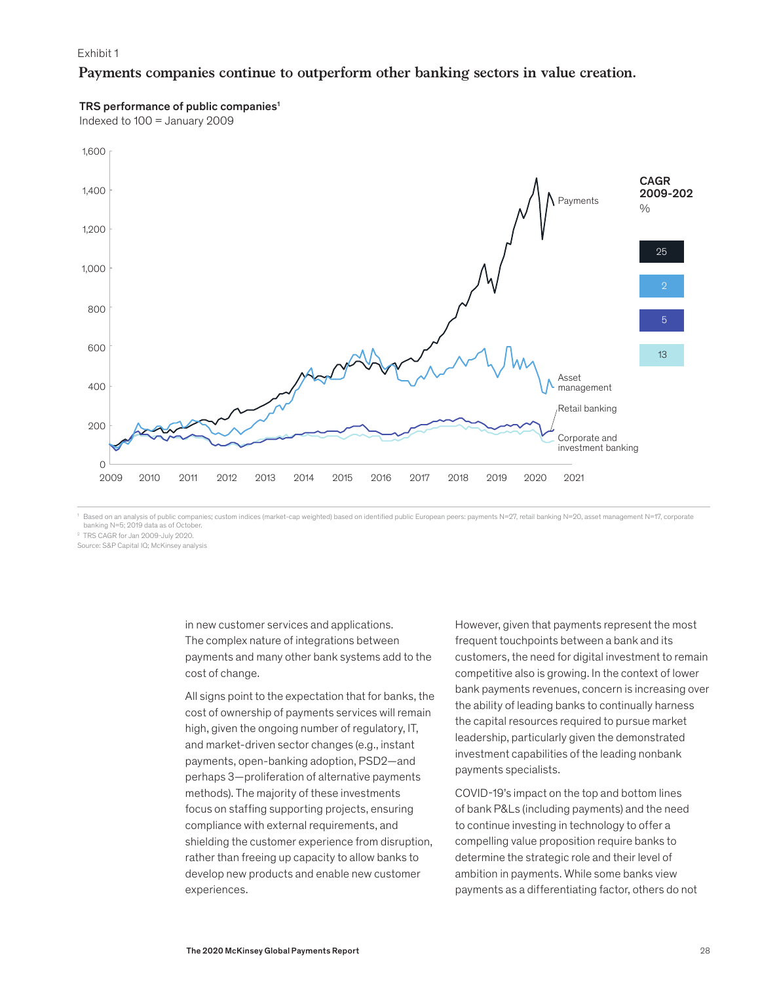#### Exhibit 1

## **Payments companies continue to outperform other banking sectors in value creation.**

#### TRS performance of public companies<sup>1</sup>

Indexed to 100 = January 2009



<sup>1</sup> Based on an analysis of public companies; custom indices (market-cap weighted) based on identified public European peers: payments N=27, retail banking N=20, asset management N=17, corporate banking N=5; 2019 data as of October.

2 TRS CAGR for Jan 2009-July 2020.

Source: S&P Capital IQ; McKinsey analysis

in new customer services and applications. The complex nature of integrations between payments and many other bank systems add to the cost of change.

All signs point to the expectation that for banks, the cost of ownership of payments services will remain high, given the ongoing number of regulatory, IT, and market-driven sector changes (e.g., instant payments, open-banking adoption, PSD2—and perhaps 3—proliferation of alternative payments methods). The majority of these investments focus on staffing supporting projects, ensuring compliance with external requirements, and shielding the customer experience from disruption, rather than freeing up capacity to allow banks to develop new products and enable new customer experiences.

However, given that payments represent the most frequent touchpoints between a bank and its customers, the need for digital investment to remain competitive also is growing. In the context of lower bank payments revenues, concern is increasing over the ability of leading banks to continually harness the capital resources required to pursue market leadership, particularly given the demonstrated investment capabilities of the leading nonbank payments specialists.

COVID-19's impact on the top and bottom lines of bank P&Ls (including payments) and the need to continue investing in technology to offer a compelling value proposition require banks to determine the strategic role and their level of ambition in payments. While some banks view payments as a differentiating factor, others do not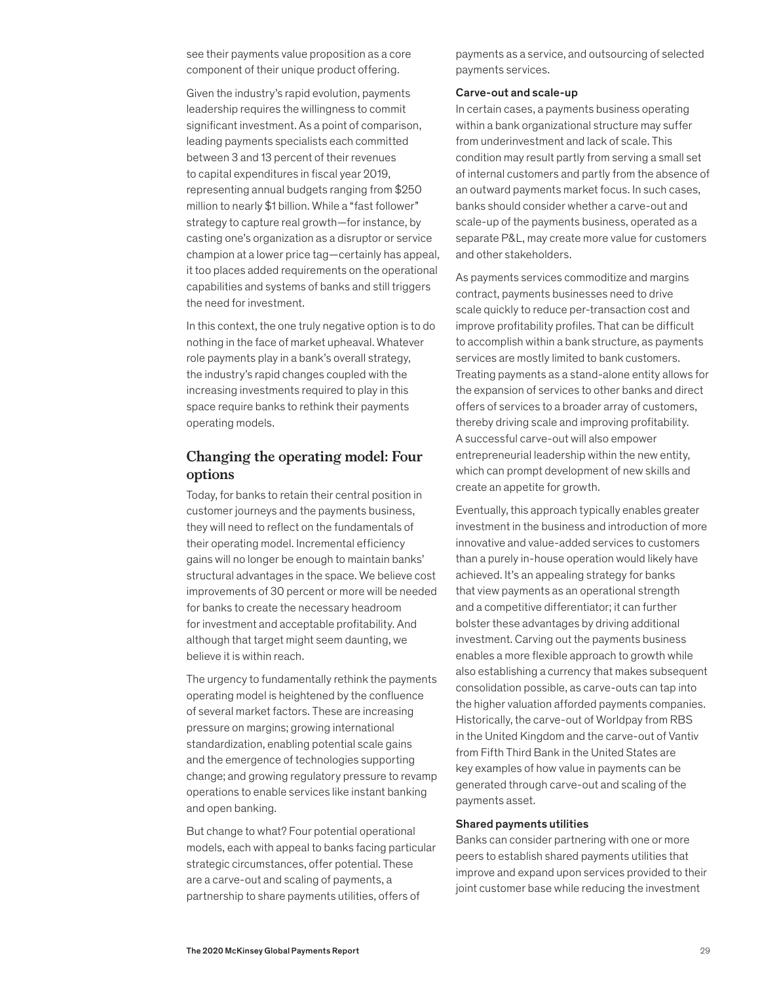see their payments value proposition as a core component of their unique product offering.

Given the industry's rapid evolution, payments leadership requires the willingness to commit significant investment. As a point of comparison, leading payments specialists each committed between 3 and 13 percent of their revenues to capital expenditures in fiscal year 2019, representing annual budgets ranging from \$250 million to nearly \$1 billion. While a "fast follower" strategy to capture real growth—for instance, by casting one's organization as a disruptor or service champion at a lower price tag—certainly has appeal, it too places added requirements on the operational capabilities and systems of banks and still triggers the need for investment.

In this context, the one truly negative option is to do nothing in the face of market upheaval. Whatever role payments play in a bank's overall strategy, the industry's rapid changes coupled with the increasing investments required to play in this space require banks to rethink their payments operating models.

# **Changing the operating model: Four options**

Today, for banks to retain their central position in customer journeys and the payments business, they will need to reflect on the fundamentals of their operating model. Incremental efficiency gains will no longer be enough to maintain banks' structural advantages in the space. We believe cost improvements of 30 percent or more will be needed for banks to create the necessary headroom for investment and acceptable profitability. And although that target might seem daunting, we believe it is within reach.

The urgency to fundamentally rethink the payments operating model is heightened by the confluence of several market factors. These are increasing pressure on margins; growing international standardization, enabling potential scale gains and the emergence of technologies supporting change; and growing regulatory pressure to revamp operations to enable services like instant banking and open banking.

But change to what? Four potential operational models, each with appeal to banks facing particular strategic circumstances, offer potential. These are a carve-out and scaling of payments, a partnership to share payments utilities, offers of

payments as a service, and outsourcing of selected payments services.

### Carve-out and scale-up

In certain cases, a payments business operating within a bank organizational structure may suffer from underinvestment and lack of scale. This condition may result partly from serving a small set of internal customers and partly from the absence of an outward payments market focus. In such cases, banks should consider whether a carve-out and scale-up of the payments business, operated as a separate P&L, may create more value for customers and other stakeholders.

As payments services commoditize and margins contract, payments businesses need to drive scale quickly to reduce per-transaction cost and improve profitability profiles. That can be difficult to accomplish within a bank structure, as payments services are mostly limited to bank customers. Treating payments as a stand-alone entity allows for the expansion of services to other banks and direct offers of services to a broader array of customers, thereby driving scale and improving profitability. A successful carve-out will also empower entrepreneurial leadership within the new entity, which can prompt development of new skills and create an appetite for growth.

Eventually, this approach typically enables greater investment in the business and introduction of more innovative and value-added services to customers than a purely in-house operation would likely have achieved. It's an appealing strategy for banks that view payments as an operational strength and a competitive differentiator; it can further bolster these advantages by driving additional investment. Carving out the payments business enables a more flexible approach to growth while also establishing a currency that makes subsequent consolidation possible, as carve-outs can tap into the higher valuation afforded payments companies. Historically, the carve-out of Worldpay from RBS in the United Kingdom and the carve-out of Vantiv from Fifth Third Bank in the United States are key examples of how value in payments can be generated through carve-out and scaling of the payments asset.

#### Shared payments utilities

Banks can consider partnering with one or more peers to establish shared payments utilities that improve and expand upon services provided to their joint customer base while reducing the investment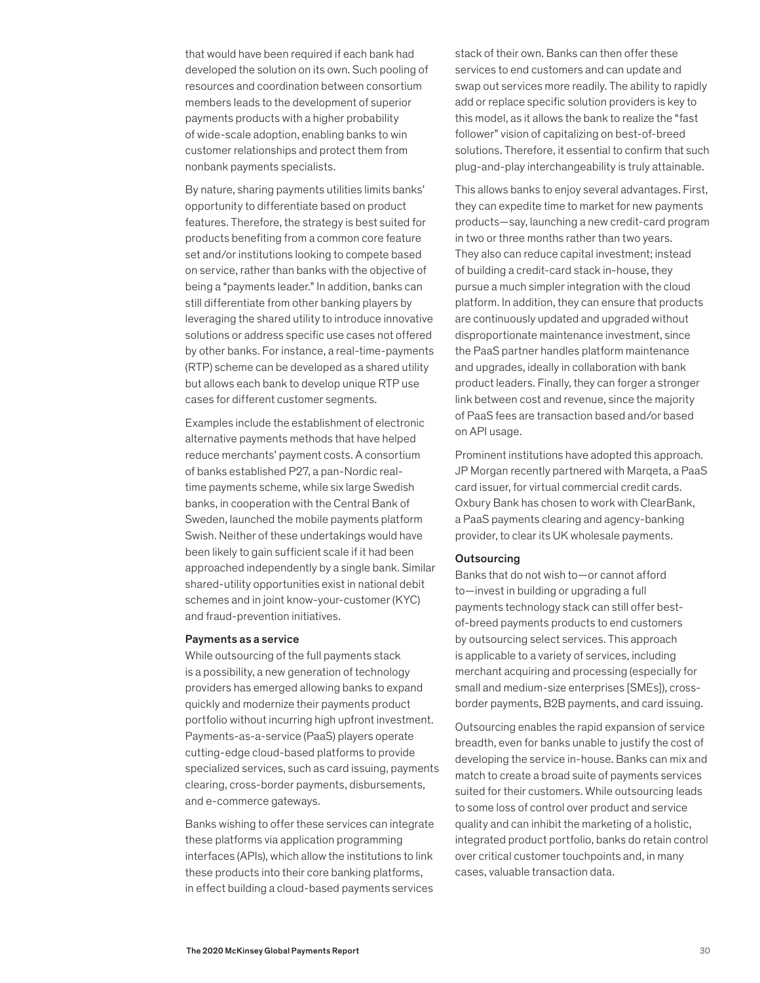that would have been required if each bank had developed the solution on its own. Such pooling of resources and coordination between consortium members leads to the development of superior payments products with a higher probability of wide-scale adoption, enabling banks to win customer relationships and protect them from nonbank payments specialists.

By nature, sharing payments utilities limits banks' opportunity to differentiate based on product features. Therefore, the strategy is best suited for products benefiting from a common core feature set and/or institutions looking to compete based on service, rather than banks with the objective of being a "payments leader." In addition, banks can still differentiate from other banking players by leveraging the shared utility to introduce innovative solutions or address specific use cases not offered by other banks. For instance, a real-time-payments (RTP) scheme can be developed as a shared utility but allows each bank to develop unique RTP use cases for different customer segments.

Examples include the establishment of electronic alternative payments methods that have helped reduce merchants' payment costs. A consortium of banks established P27, a pan-Nordic realtime payments scheme, while six large Swedish banks, in cooperation with the Central Bank of Sweden, launched the mobile payments platform Swish. Neither of these undertakings would have been likely to gain sufficient scale if it had been approached independently by a single bank. Similar shared-utility opportunities exist in national debit schemes and in joint know-your-customer (KYC) and fraud-prevention initiatives.

#### Payments as a service

While outsourcing of the full payments stack is a possibility, a new generation of technology providers has emerged allowing banks to expand quickly and modernize their payments product portfolio without incurring high upfront investment. Payments-as-a-service (PaaS) players operate cutting-edge cloud-based platforms to provide specialized services, such as card issuing, payments clearing, cross-border payments, disbursements, and e-commerce gateways.

Banks wishing to offer these services can integrate these platforms via application programming interfaces (APIs), which allow the institutions to link these products into their core banking platforms, in effect building a cloud-based payments services stack of their own. Banks can then offer these services to end customers and can update and swap out services more readily. The ability to rapidly add or replace specific solution providers is key to this model, as it allows the bank to realize the "fast follower" vision of capitalizing on best-of-breed solutions. Therefore, it essential to confirm that such plug-and-play interchangeability is truly attainable.

This allows banks to enjoy several advantages. First, they can expedite time to market for new payments products—say, launching a new credit-card program in two or three months rather than two years. They also can reduce capital investment; instead of building a credit-card stack in-house, they pursue a much simpler integration with the cloud platform. In addition, they can ensure that products are continuously updated and upgraded without disproportionate maintenance investment, since the PaaS partner handles platform maintenance and upgrades, ideally in collaboration with bank product leaders. Finally, they can forger a stronger link between cost and revenue, since the majority of PaaS fees are transaction based and/or based on API usage.

Prominent institutions have adopted this approach. JP Morgan recently partnered with Marqeta, a PaaS card issuer, for virtual commercial credit cards. Oxbury Bank has chosen to work with ClearBank, a PaaS payments clearing and agency-banking provider, to clear its UK wholesale payments.

#### **Outsourcing**

Banks that do not wish to—or cannot afford to—invest in building or upgrading a full payments technology stack can still offer bestof-breed payments products to end customers by outsourcing select services. This approach is applicable to a variety of services, including merchant acquiring and processing (especially for small and medium-size enterprises [SMEs]), crossborder payments, B2B payments, and card issuing.

Outsourcing enables the rapid expansion of service breadth, even for banks unable to justify the cost of developing the service in-house. Banks can mix and match to create a broad suite of payments services suited for their customers. While outsourcing leads to some loss of control over product and service quality and can inhibit the marketing of a holistic, integrated product portfolio, banks do retain control over critical customer touchpoints and, in many cases, valuable transaction data.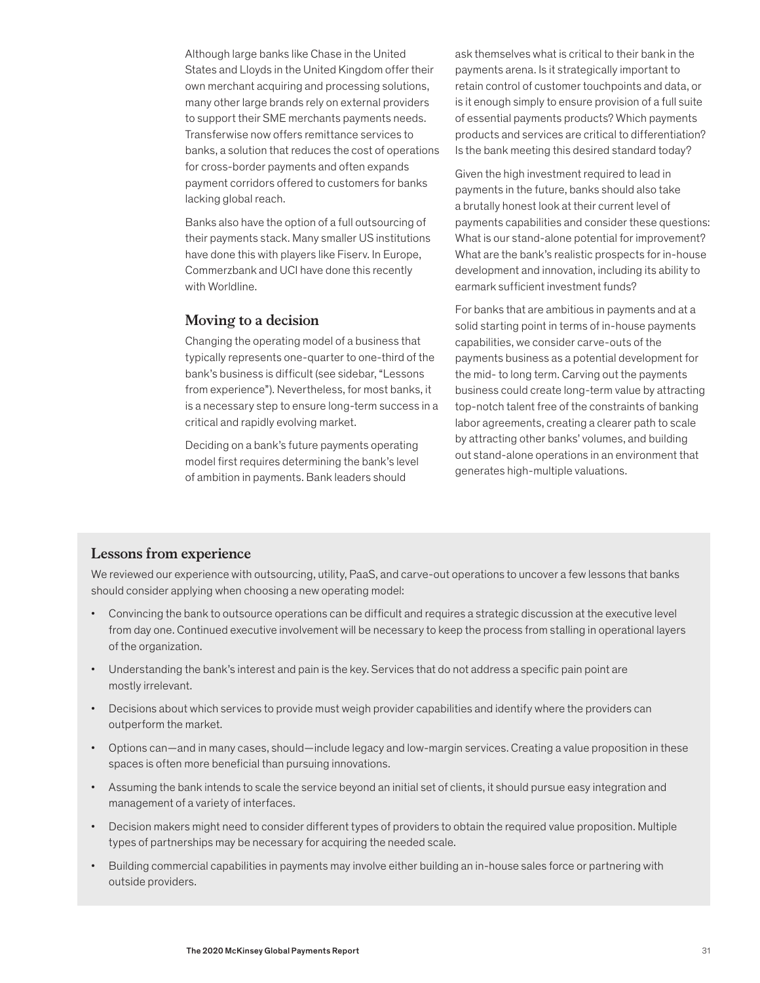Although large banks like Chase in the United States and Lloyds in the United Kingdom offer their own merchant acquiring and processing solutions, many other large brands rely on external providers to support their SME merchants payments needs. Transferwise now offers remittance services to banks, a solution that reduces the cost of operations for cross-border payments and often expands payment corridors offered to customers for banks lacking global reach.

Banks also have the option of a full outsourcing of their payments stack. Many smaller US institutions have done this with players like Fiserv. In Europe, Commerzbank and UCI have done this recently with Worldline.

## **Moving to a decision**

Changing the operating model of a business that typically represents one-quarter to one-third of the bank's business is difficult (see sidebar, "Lessons from experience"). Nevertheless, for most banks, it is a necessary step to ensure long-term success in a critical and rapidly evolving market.

Deciding on a bank's future payments operating model first requires determining the bank's level of ambition in payments. Bank leaders should

ask themselves what is critical to their bank in the payments arena. Is it strategically important to retain control of customer touchpoints and data, or is it enough simply to ensure provision of a full suite of essential payments products? Which payments products and services are critical to differentiation? Is the bank meeting this desired standard today?

Given the high investment required to lead in payments in the future, banks should also take a brutally honest look at their current level of payments capabilities and consider these questions: What is our stand-alone potential for improvement? What are the bank's realistic prospects for in-house development and innovation, including its ability to earmark sufficient investment funds?

For banks that are ambitious in payments and at a solid starting point in terms of in-house payments capabilities, we consider carve-outs of the payments business as a potential development for the mid- to long term. Carving out the payments business could create long-term value by attracting top-notch talent free of the constraints of banking labor agreements, creating a clearer path to scale by attracting other banks' volumes, and building out stand-alone operations in an environment that generates high-multiple valuations.

## **Lessons from experience**

We reviewed our experience with outsourcing, utility, PaaS, and carve-out operations to uncover a few lessons that banks should consider applying when choosing a new operating model:

- Convincing the bank to outsource operations can be difficult and requires a strategic discussion at the executive level from day one. Continued executive involvement will be necessary to keep the process from stalling in operational layers of the organization.
- Understanding the bank's interest and pain is the key. Services that do not address a specific pain point are mostly irrelevant.
- Decisions about which services to provide must weigh provider capabilities and identify where the providers can outperform the market.
- Options can—and in many cases, should—include legacy and low-margin services. Creating a value proposition in these spaces is often more beneficial than pursuing innovations.
- Assuming the bank intends to scale the service beyond an initial set of clients, it should pursue easy integration and management of a variety of interfaces.
- Decision makers might need to consider different types of providers to obtain the required value proposition. Multiple types of partnerships may be necessary for acquiring the needed scale.
- Building commercial capabilities in payments may involve either building an in-house sales force or partnering with outside providers.